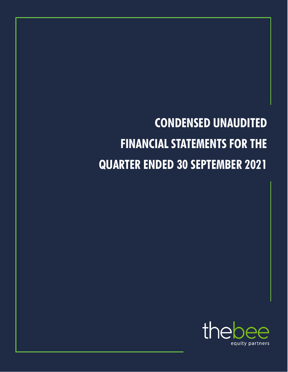# **CONDENSED UNAUDITED FINANCIAL STATEMENTS FOR THE QUARTER ENDED 30 SEPTEMBER 2021**